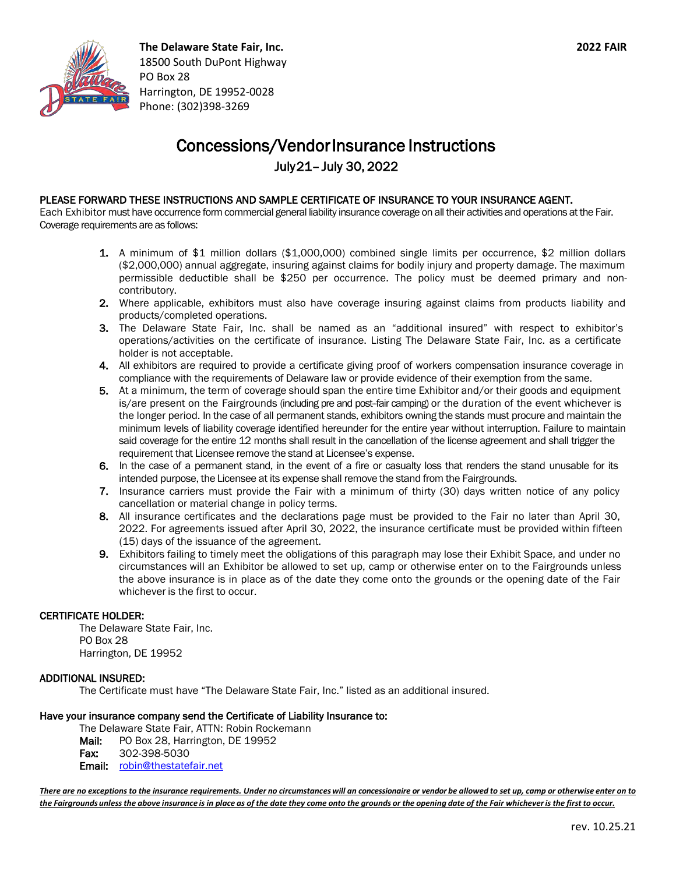

**The Delaware State Fair, Inc. 2022 FAIR** 18500 South DuPont Highway PO Box 28 Harrington, DE 19952-0028 Phone: (302)398-3269

## Concessions/Vendor Insurance Instructions

July 21– July 30, 2022

### PLEASE FORWARD THESE INSTRUCTIONS AND SAMPLE CERTIFICATE OF INSURANCE TO YOUR INSURANCE AGENT.

Each Exhibitor must have occurrence form commercial general liability insurance coverage on all their activities and operations at the Fair. Coverage requirements are as follows:

- 1. A minimum of \$1 million dollars (\$1,000,000) combined single limits per occurrence, \$2 million dollars (\$2,000,000) annual aggregate, insuring against claims for bodily injury and property damage. The maximum permissible deductible shall be \$250 per occurrence. The policy must be deemed primary and noncontributory.
- 2. Where applicable, exhibitors must also have coverage insuring against claims from products liability and products/completed operations.
- 3. The Delaware State Fair, Inc. shall be named as an "additional insured" with respect to exhibitor's operations/activities on the certificate of insurance. Listing The Delaware State Fair, Inc. as a certificate holder is not acceptable.
- 4. All exhibitors are required to provide a certificate giving proof of workers compensation insurance coverage in compliance with the requirements of Delaware law or provide evidence of their exemption from the same.
- 5. At a minimum, the term of coverage should span the entire time Exhibitor and/or their goods and equipment is/are present on the Fairgrounds (including pre and post-fair camping) or the duration of the event whichever is the longer period. In the case of all permanent stands, exhibitors owning the stands must procure and maintain the minimum levels of liability coverage identified hereunder for the entire year without interruption. Failure to maintain said coverage for the entire 12 months shall result in the cancellation of the license agreement and shall trigger the requirement that Licensee remove the stand at Licensee's expense.
- 6. In the case of a permanent stand, in the event of a fire or casualty loss that renders the stand unusable for its intended purpose, the Licensee at its expense shall remove the stand from the Fairgrounds.
- 7. Insurance carriers must provide the Fair with a minimum of thirty (30) days written notice of any policy cancellation or material change in policy terms.
- 8. All insurance certificates and the declarations page must be provided to the Fair no later than April 30, 2022. For agreements issued after April 30, 2022, the insurance certificate must be provided within fifteen (15) days of the issuance of the agreement.
- 9. Exhibitors failing to timely meet the obligations of this paragraph may lose their Exhibit Space, and under no circumstances will an Exhibitor be allowed to set up, camp or otherwise enter on to the Fairgrounds unless the above insurance is in place as of the date they come onto the grounds or the opening date of the Fair whichever is the first to occur.

#### CERTIFICATE HOLDER:

The Delaware State Fair, Inc. PO Box 28 Harrington, DE 19952

#### ADDITIONAL INSURED:

The Certificate must have "The Delaware State Fair, Inc." listed as an additional insured.

#### Have your insurance company send the Certificate of Liability Insurance to:

The Delaware State Fair, ATTN: Robin Rockemann Mail: PO Box 28, Harrington, DE 19952 Fax: 302-398-5030

Email: robin@thestatefair.net

*There are no exceptions to the insurance requirements. Under no circumstances will an concessionaire or vendor be allowed to set up, camp or otherwise enter on to the Fairgrounds unless the above insurance is in place as of the date they come onto the grounds or the opening date of the Fair whichever is the first to occur.*